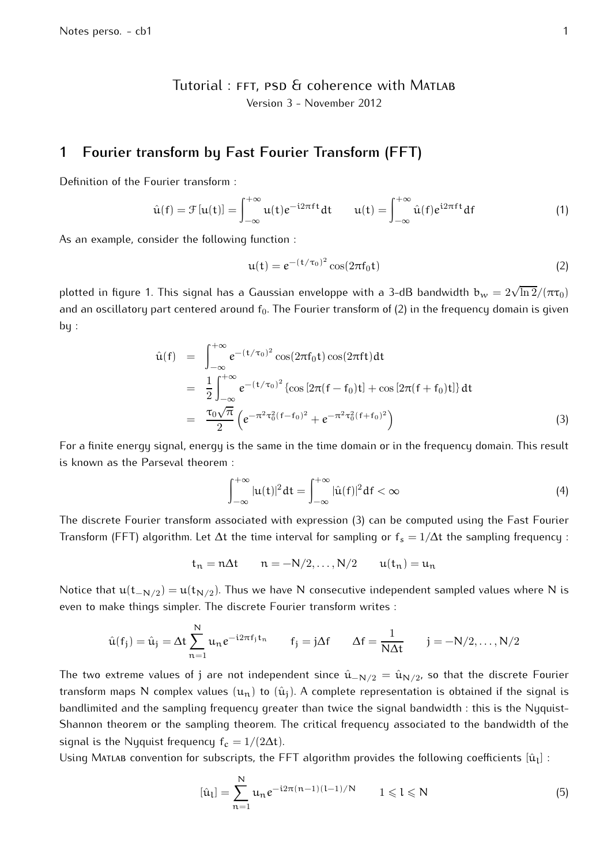Tutorial: FFT, PSD & coherence with MATLAB Version 3 - November 2012

## **1 Fourier transform by Fast Fourier Transform (FFT)**

Definition of the Fourier transform :

$$
\hat{u}(f) = \mathcal{F}[u(t)] = \int_{-\infty}^{+\infty} u(t)e^{-i2\pi ft}dt \qquad u(t) = \int_{-\infty}^{+\infty} \hat{u}(f)e^{i2\pi ft}df \qquad (1)
$$

As an example, consider the following function :

$$
\mathbf{u}(t) = e^{-(t/\tau_0)^2} \cos(2\pi f_0 t) \tag{2}
$$

plotted in figure 1. This signal has a Gaussian enveloppe with a 3-dB bandwidth  $\rm b_w=2\sqrt{\ln 2}/(\pi\tau_0)$ and an oscillatory part centered around  $f_0$ . The Fourier transform of (2) in the frequency domain is given  $bu:$ 

$$
\hat{u}(f) = \int_{-\infty}^{+\infty} e^{-(t/\tau_0)^2} \cos(2\pi f_0 t) \cos(2\pi f t) dt \n= \frac{1}{2} \int_{-\infty}^{+\infty} e^{-(t/\tau_0)^2} \left\{ \cos\left[2\pi (f - f_0)t\right] + \cos\left[2\pi (f + f_0)t\right] \right\} dt \n= \frac{\tau_0 \sqrt{\pi}}{2} \left( e^{-\pi^2 \tau_0^2 (f - f_0)^2} + e^{-\pi^2 \tau_0^2 (f + f_0)^2} \right)
$$
\n(3)

For a finite energy signal, energy is the same in the time domain or in the frequency domain. This result is known as the Parseval theorem :

$$
\int_{-\infty}^{+\infty} |u(t)|^2 dt = \int_{-\infty}^{+\infty} |\hat{u}(f)|^2 df < \infty
$$
 (4)

The discrete Fourier transform associated with expression (3) can be computed using the Fast Fourier Transform (FFT) algorithm. Let  $\Delta t$  the time interval for sampling or  $f_s = 1/\Delta t$  the sampling frequency :

$$
t_n = n\Delta t \qquad n = -N/2, \dots, N/2 \qquad u(t_n) = u_n
$$

Notice that  $\mathfrak{u}(\mathsf{t}_{-\mathsf{N}/2})$   $=$   $\mathfrak{u}(\mathsf{t}_{\mathsf{N}/2})$ . Thus we have  $\mathsf{N}$  consecutive independent sampled values where  $\mathsf{N}$  is even to make things simpler. The discrete Fourier transform writes :

$$
\hat{u}(f_j) = \hat{u}_j = \Delta t \sum_{n=1}^{N} u_n e^{-i2\pi f_j t_n} \qquad f_j = j\Delta f \qquad \Delta f = \frac{1}{N\Delta t} \qquad j = -N/2, \dots, N/2
$$

The two extreme values of j are not independent since  $\hat{\mathfrak{u}}_{-\mathsf{N}/2}=\hat{\mathfrak{u}}_{\mathsf{N}/2}$ , so that the discrete Fourier transform maps N complex values  $(u_n)$  to  $(\hat{u}_i)$ . A complete representation is obtained if the signal is bandlimited and the sampling frequency greater than twice the signal bandwidth : this is the Nyquist-Shannon theorem or the sampling theorem. The critical frequency associated to the bandwidth of the signal is the Nyquist frequency  $f_c = 1/(2\Delta t)$ .

Using Matlab convention for subscripts, the FFT algorithm provides the following coefficients  $[\hat{\mathfrak{u}}_{\mathsf{l}}]$  :

$$
[\hat{u}_l] = \sum_{n=1}^{N} u_n e^{-i2\pi(n-1)(l-1)/N} \qquad 1 \leq l \leq N \tag{5}
$$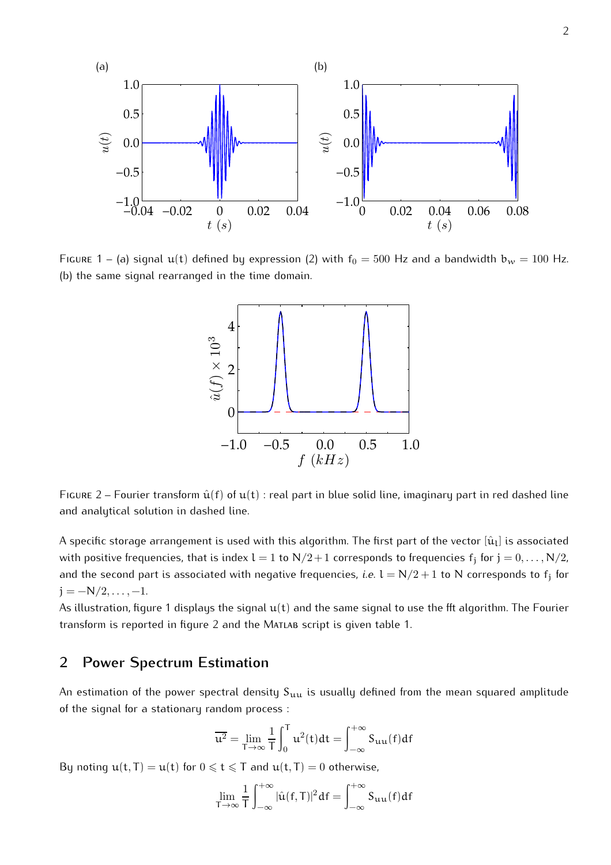

FIGURE 1 – (a) signal  $u(t)$  defined by expression (2) with  $f_0 = 500$  Hz and a bandwidth  $b_w = 100$  Hz. (b) the same signal rearranged in the time domain.



FIGURE 2 – Fourier transform  $\hat{u}(f)$  of  $u(t)$ : real part in blue solid line, imaginary part in red dashed line and analytical solution in dashed line.

A specific storage arrangement is used with this algorithm. The first part of the vector  $[\hat{\mathfrak{u}}_l]$  is associated with positive frequencies, that is index  $\sf l=1$  to  $\sf N/2+1$  corresponds to frequencies  ${\sf f}_\texttt{j}$  for  $\sf j=0,\ldots,N/2$ , and the second part is associated with negative frequencies, *i.e.*  $l = N/2 + 1$  to  $N$  corresponds to  $f_j$  for  $j = -N/2, \ldots, -1.$ 

As illustration, figure 1 displays the signal  $u(t)$  and the same signal to use the fft algorithm. The Fourier transform is reported in figure 2 and the Matlab script is given table 1.

## **2 Power Spectrum Estimation**

An estimation of the power spectral density  $S_{uu}$  is usually defined from the mean squared amplitude of the signal for a stationary random process :

$$
\overline{u^2} = \lim_{T \to \infty} \frac{1}{T} \int_0^T u^2(t) dt = \int_{-\infty}^{+\infty} S_{uu}(f) df
$$

By noting  $u(t, T) = u(t)$  for  $0 \leq t \leq T$  and  $u(t, T) = 0$  otherwise,

$$
\lim_{T \to \infty} \frac{1}{T} \int_{-\infty}^{+\infty} |\hat{u}(f,T)|^2 df = \int_{-\infty}^{+\infty} S_{uu}(f) df
$$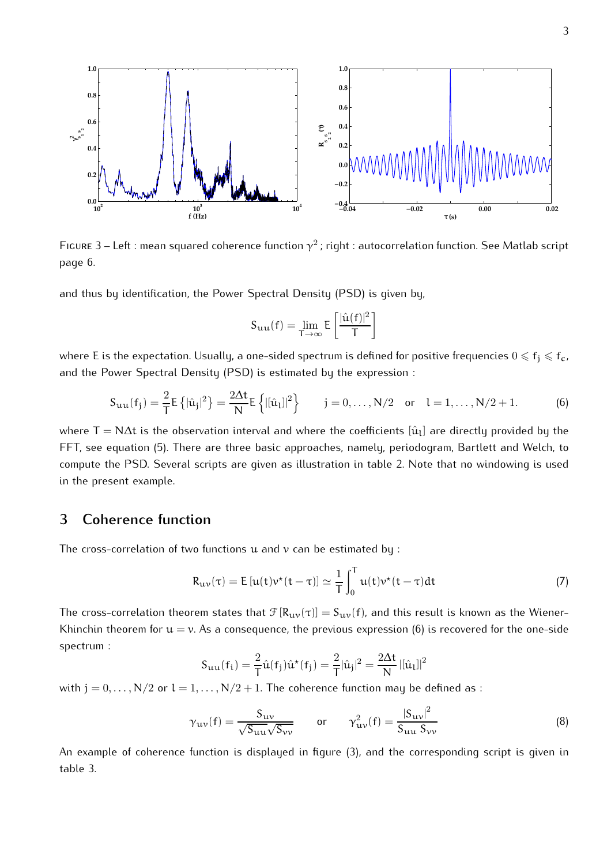

Figure 3 – Left : mean squared coherence function  $\gamma^2$  ; right : autocorrelation function. See Matlab script page 6.

and thus by identification, the Power Spectral Density (PSD) is given by,

$$
S_{\mathbf{u}\mathbf{u}}(f)=\lim_{T\rightarrow\infty}E\left[\frac{|\hat{u}(f)|^2}{T}\right]
$$

where E is the expectation. Usually, a one-sided spectrum is defined for positive frequencies  $0 \leqslant f_i \leqslant f_c$ , and the Power Spectral Density (PSD) is estimated by the expression :

$$
S_{uu}(f_j) = \frac{2}{T} E \{ |\hat{u}_j|^2 \} = \frac{2\Delta t}{N} E \{ |[\hat{u}_l]|^2 \} \qquad j = 0, ..., N/2 \quad \text{or} \quad l = 1, ..., N/2 + 1. \tag{6}
$$

where T  $=$  N $\Delta$ t is the observation interval and where the coefficients  $[\hat{\mathfrak{u}}_ \iota]$  are directly provided by the FFT, see equation (5). There are three basic approaches, namely, periodogram, Bartlett and Welch, to compute the PSD. Several scripts are given as illustration in table 2. Note that no windowing is used in the present example.

## **3 Coherence function**

The cross-correlation of two functions  $u$  and  $v$  can be estimated by :

$$
R_{uv}(\tau) = E[u(t)v^*(t-\tau)] \simeq \frac{1}{T} \int_0^T u(t)v^*(t-\tau)dt
$$
\n(7)

The cross-correlation theorem states that  $\mathcal{F}[R_{uv}(\tau)] = S_{uv}(f)$ , and this result is known as the Wiener-Khinchin theorem for  $u = v$ . As a consequence, the previous expression (6) is recovered for the one-side spectrum :

$$
S_{uu}(f_i) = \frac{2}{T}\hat{u}(f_j)\hat{u}^*(f_j) = \frac{2}{T}|\hat{u}_j|^2 = \frac{2\Delta t}{N} |[\hat{u}_l]|^2
$$

with  $j = 0, \ldots, N/2$  or  $l = 1, \ldots, N/2 + 1$ . The coherence function may be defined as :

$$
\gamma_{uv}(f) = \frac{S_{uv}}{\sqrt{S_{uu}}\sqrt{S_{vv}}} \qquad \text{or} \qquad \gamma_{uv}^2(f) = \frac{|S_{uv}|^2}{S_{uu} S_{vv}} \tag{8}
$$

An example of coherence function is displayed in figure (3), and the corresponding script is given in table 3.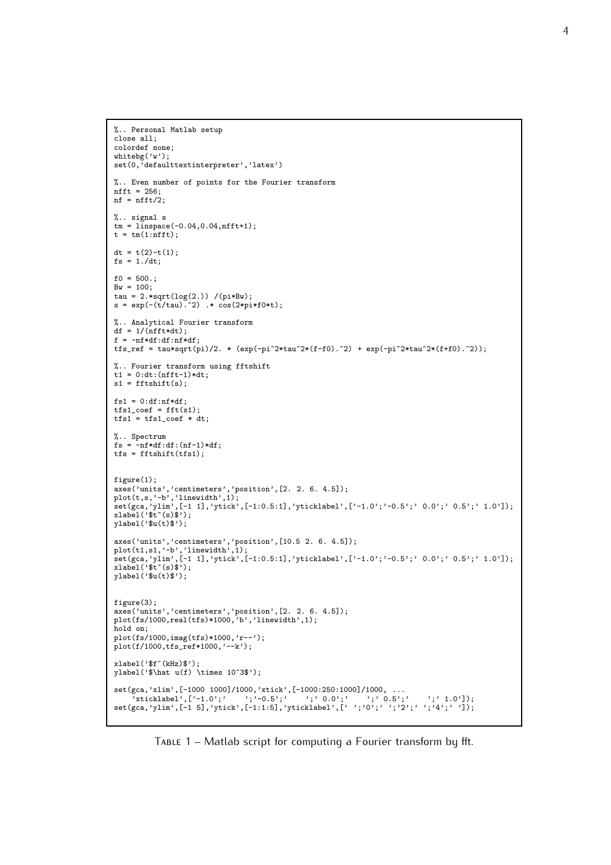```
%.. Personal Matlab setup
close all;
colordef none;
whitebg('w');
set(0,'defaulttextinterpreter','latex')
%.. Even number of points for the Fourier transform
nfft = 256;
nf = nfft/2;
%.. signal s
tm = Iinspace(-0.04, 0.04, nfft+1);t = tm(1:nfft);dt = t(2)-t(1);
fs = 1./dt;f0 = 500Bw = 100;tau = 2.*sqrt(log(2.)) / (pi*Bw);s = exp(-(t/tau).^2) .* cos(2*pi*f0*t);%.. Analytical Fourier transform
df = 1/(nfft*dt);f = -nf * df : df : nf * df;tfs_ref = tau*sqrt(pi)/2. * (exp(-pi^2*tau^2*(f-f0).^2) + exp(-pi^2*tau^2*(f+f0).^2));%.. Fourier transform using fftshift
t1 = 0:dt:(nfft-1)*dt;s1 = fftshift(s);fs1 = 0:df:nf*df;tfs1\_coef = fft(s1);\text{tfs1} = \text{tfs1} \text{\text{-}coeff} * \text{dt};%.. Spectrum
fs = -nf * df : df : (nf-1) * df;\text{tfs} = \text{fftshift}(\text{tfs1});figure(1):
axes('units','centimeters','position',[2. 2. 6. 4.5]);
plot(t,s,'-b','linewidth',1);
set(gca,'ylim',[-1 1],'ytick',[-1:0.5:1],'yticklabel',['-1.0';'-0.5';' 0.0';' 0.5';' 1.0']);
xlabel('$t~(s)$');
ylabel('$u(t)$');axes('units','centimeters','position',[10.5 2. 6. 4.5]);
plot(t1,s1,'-b','linewidth',1);
set(gca,'ylim',[-1 1],'ytick',[-1:0.5:1],'yticklabel',['-1.0';'-0.5';' 0.0';' 0.5';' 1.0']);
xlabel(' <math>t^*(s)</math>);
ylabel('$u(t)$');
figure(3);
axes('units','centimeters','position',[2. 2. 6. 4.5]);
plot(fs/1000,real(tfs)*1000,'b','linewidth',1);
hold on;
plot(fs/1000,imag(tfs)*1000,'r--');
plot(f/1000,tfs_ref*1000,'--k');
xlabel(' <math>f^*(kHz)</math> );
vlabel('\hat u(f) \times 10^3$');
set(gca,'xlim',[-1000 1000]/1000,'xtick',[-1000:250:1000]/1000, ...
     'xticklabel',['-1.0';' ';'-0.5';' ';' 0.0';' ';' 0.5';' ';' 1.0']);
set(gca,'ylim',[-1 5],'ytick',[-1:1:5],'yticklabel',[' ';'0';' ';'2';' ';'4';' ']);
```
Table 1 – Matlab script for computing a Fourier transform by fft.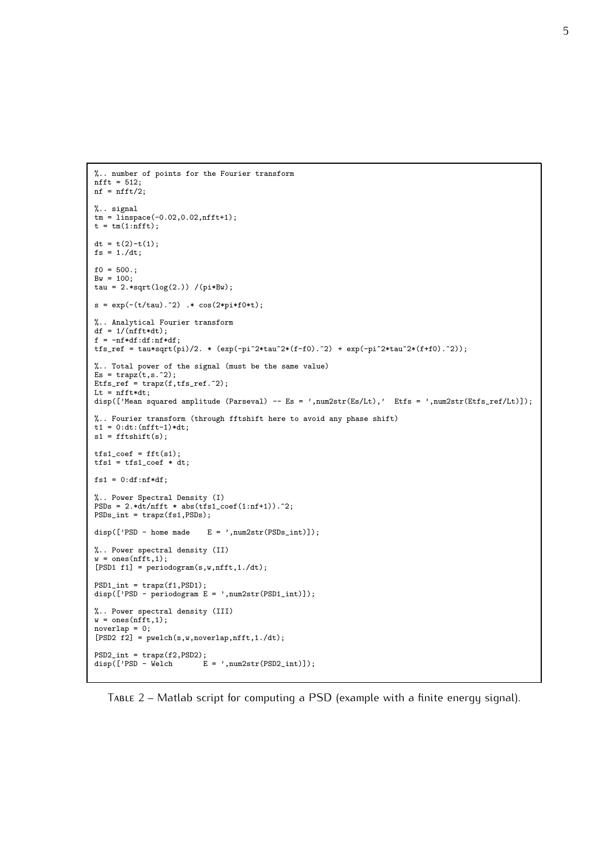```
%.. number of points for the Fourier transform
\begin{aligned}\n\text{mft} &= 512; \n\end{aligned}nf = nfft/2;%.. signal
tm = linspace(-0.02,0.02,nfft+1);
t = tm(1:nfft);dt = t(2)-t(1);
fs = 1./dt;
f0 = 500.;
Bw = 100;tau = 2.*sqrt(log(2.)) / (pi*Bw);s = exp(-(t/tau).^2) .* cos(2*pi*f0*t);%.. Analytical Fourier transform
df = 1/(nfft*dt);f = -nf * df : df : nf * df;tfs_ref = tau*sqrt(pi)/2. * (exp(-pi^2*tau^2*(f-f0).^2) + exp(-pi^2*tau^2*(f+f0).^2));
%.. Total power of the signal (must be the same value)
Es = \text{trapz}(t, s.^2);Etfs_ref = trapz(f,tfs_ref.^2);
Lt = nfft*dt;
disp(['Mean squared amplitude (Parseval) -- Es = ',num2str(Es/Lt),' Etfs = ',num2str(Etfs_ref/Lt)]);
%.. Fourier transform (through fftshift here to avoid any phase shift)
t1 = 0:dt:(nfft-1)*dt;
s1 = fftshift(s);tfs1\_coef = fft(s1);tfs1 = tfs1\_coef * dt;fs1 = 0:df:nf*df;%.. Power Spectral Density (I)
PSDs = 2.*dt/nfft * abs(tfs1\_coef(1:nf+1)). ^2;
PSDs_int = trapz(fs1,PSDs);
disp(['PSD - home made E = ', num2str(PSDs_info)]);
%.. Power spectral density (II)
w = \text{ones}(\text{nfft}, 1);[PSD1 f1] = periodogram(s,w,nfft,1./dt);
PSD1_int = trapz(f1, PSD1);
disp(['PSD - periodogram E = ', num2str(PSD1-int)]);
%.. Power spectral density (III)
w = \text{ones}(\text{nfft}, 1);noverlap = 0;[PSD2 f2] = pwelch(s,w,noverlap,nfft,1./dt);
PSD2_int = trapz(f2,PSD2);disp(['PSD - Welch \t E = ', num2str(PSD2-int));
```
Table 2 – Matlab script for computing a PSD (example with a finite energy signal).